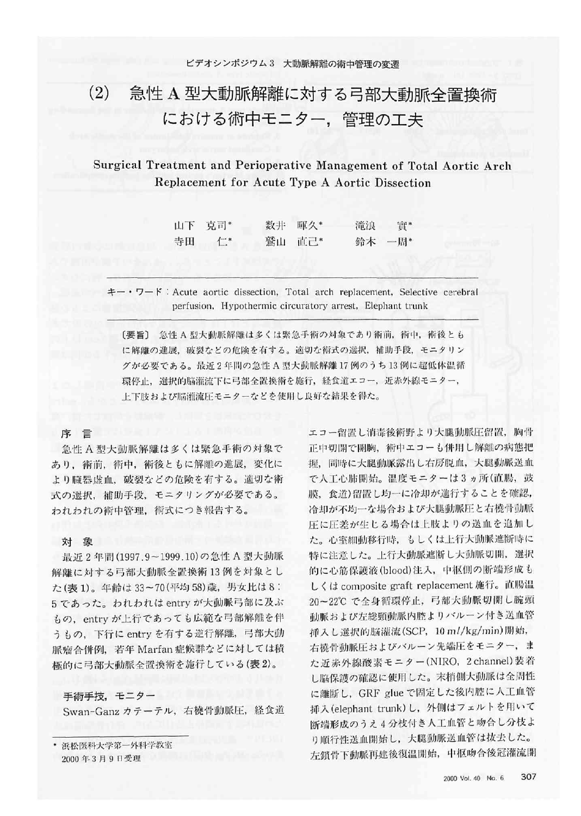# 急性 A 型大動脈解離に対する弓部大動脈全置換術  $(2)$ における術中モニター、管理の工夫

# Surgical Treatment and Perioperative Management of Total Aortic Arch Replacement for Acute Type A Aortic Dissection

| 山下 克司* | 数非 暉久* | 滝浪 | - 四*   |
|--------|--------|----|--------|
| 寺田 仁*  | 鷲山 直己* |    | 鈴木 一周* |

 $\pm - \cdot$   $\nabla - \mathfrak{f}$ : Acute aortic dissection, Total arch replacement, Selective cerebral perfusion, Hypothermic circuratory arrest, Elephant trunk

[要旨] 急性 A 型大動脈解離は多くは緊急手術の対象であり術前, 術中, 術後とも に解離の進展、破裂などの危険を有する。適切な術式の選択、補助手段、モニタリン グが必要である。最近2年間の急性A型大動脈解離17例のうち13例に超低体温循 環停止、選択的脳灌流下に弓部全置換術を施行、経食道エコー、近赤外線モニター、 上下肢および脳灌流圧モニターなどを使用し良好な結果を得た。

#### 序言

急性A型大動脈解離は多くは緊急手術の対象で あり、術前、術中、術後ともに解離の進展、変化に より臓器虚血、破裂などの危険を有する。適切な術 式の選択、補助手段、モニタリングが必要である。 われわれの術中管理、術式につき報告する。

### 対 象

最近2年間(1997.9~1999.10)の急性 A 型大動脈 解離に対する弓部大動脈全置換術13例を対象とし た(表1)。年齢は33~70(平均58)歳、男女比は8: 5 であった。われわれは entry が大動脈弓部に及ぶ もの、entry が上行であっても広範な弓部解離を伴 うもの、下行に entry を有する逆行解離、弓部大動 脈瘤合併例, 若年 Marfan症候群などに対しては積 極的に弓部大動脈全置換術を施行している(表2)。

手術手技, モニター アンチング しんしょう Swan-Ganz カテーテル,右橈骨動脈圧,経食道

浜松医科大学第一外科学教室 2000年3月9日受理

エコー留置し消毒後術野より大腿動脈圧留置、胸骨 正中切開で開胸、術中エコーも併用し解離の病態把 握、同時に大腿動脈露出し右房脱血,大腿動脈送血 で人工心肺開始。温度モニターは3ヵ所(直腸, 鼓 膜、食道)留置し均一に冷却が進行することを確認, 冷却が不均一な場合および大腿動脈圧と右橈骨動脈 圧に圧差が生じる場合は上肢よりの送血を追加し た。心室細動移行時、もしくは上行大動脈遮断時に 特に注意した。上行大動脈遮断し大動脈切開、選択 的に心筋保護液(blood)注入、中枢側の断端形成も しくは composite graft replacement 施行。直腸温 20~22℃で全身循環停止、弓部大動脈切開し腕頭 動脈および左総頸動脈内腔よりバルーン付き送血管 挿入し選択的脳灌流(SCP, 10 ml/kg/min)開始, 右橈骨動脈圧およびバルーン先端圧をモニター、ま た近赤外線酸素モニター(NIRO, 2 channel)装着 し脳保護の確認に使用した。末梢側大動脈は全周性 に離断し、GRF glue で固定した後内腔に人工血管 挿入(elephant trunk)し、外側はフェルトを用いて 断端形成のうえ4分枝付き人工血管と吻合し分枝よ り順行性送血開始し、大腿動脈送血管は抜去した。 左鎖骨下動脈再建後復温開始, 中枢吻合後冠灌流開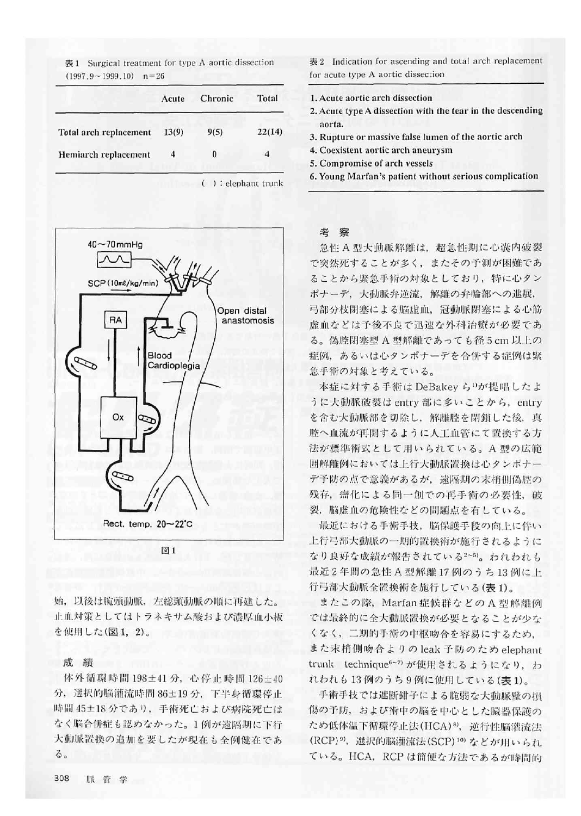表 1 Surgical treatment for type A aortic dissection  $(1997.9 - 1999.10)$  n=26

|                        | Acute | Chronic | Total  |
|------------------------|-------|---------|--------|
| Total arch replacement | 13(9) | 9(5)    | 22(14) |
| Hemiarch replacement   | 4     | 0       |        |

( ) : elephant trunk



図1

始、以後は腕頭動脈、左総頸動脈の順に再建した。 止血対策としてはトラネキサム酸および濃厚血小板 を使用した(図1,2)。

#### 成 績

体外循環時間198±41分,心停止時間126±40 分, 選択的脳灌流時間 86±19分, 下半身循環停止 時間 45±18 分であり、手術死亡および病院死亡は なく脳合併症も認めなかった。1例が遠隔期に下行 大動脈置換の追加を要したが現在も全例健在であ る。

表 2 Indication for ascending and total arch replacement for acute type A aortic dissection

- 1. Acute aortic arch dissection
- 2. Acute type A dissection with the tear in the descending aorta.
- 3. Rupture or massive false lumen of the aortic arch
- 4. Coexistent aortic arch aneurysm
- 5. Compromise of arch vessels
- 6. Young Marfan's patient without serious complication

#### 考 察

急性 A 型大動脈解離は、超急性期に心囊内破裂 で突然死することが多く、またその予測が困難であ ることから緊急手術の対象としており、特に心タン ポナーデ、大動脈弁逆流、解離の弁輪部への進展, 弓部分枝閉塞による脳虚血、冠動脈閉塞による心筋 虚血などは予後不良で迅速な外科治療が必要であ る。偽腔閉塞型 A 型解離であっても径5cm 以上の 症例、あるいは心タンポナーデを合併する症例は緊 急手術の対象と考えている。

本症に対する手術は DeBakey ら<sup>1</sup>)が提唱したよ うに大動脈破裂は entry 部に多いことから、entry を含む大動脈部を切除し、解離腔を閉鎖した後、真 腔へ血流が再開するように人工血管にて置換する方 法が標準術式として用いられている。A型の広範 囲解離例においては上行大動脈置換は心タンポナー デ予防の点で意義があるが、遠隔期の末梢側偽腔の 残存、瘤化による同一創での再手術の必要性、破 裂、脳虚血の危険性などの問題点を有している。

最近における手術手技、脳保護手段の向上に伴い 上行弓部大動脈の一期的置換術が施行されるように なり良好な成績が報告されている2~5)。われわれも 最近2年間の急性A型解離17例のうち13例に上 行弓部大動脈全置換術を施行している(表1)。

またこの際, Marfan症候群などのA型解離例 では最終的に全大動脈置換が必要となることが少な くなく、二期的手術の中枢吻合を容易にするため, また末梢側吻合よりの leak 予防のため elephant trunk technique<sup>6~7</sup>) が使用されるようになり、わ れわれも13例のうち9例に使用している(表1)。

手術手技では遮断鉗子による脆弱な大動脈壁の損 傷の予防、および術中の脳を中心とした臓器保護の ため低体温下循環停止法(HCA)8), 逆行性脳灌流法 (RCP)<sup>9)</sup>, 選択的脳灌流法(SCP)<sup>10)</sup> などが用いられ ている。HCA, RCP は簡便な方法であるが時間的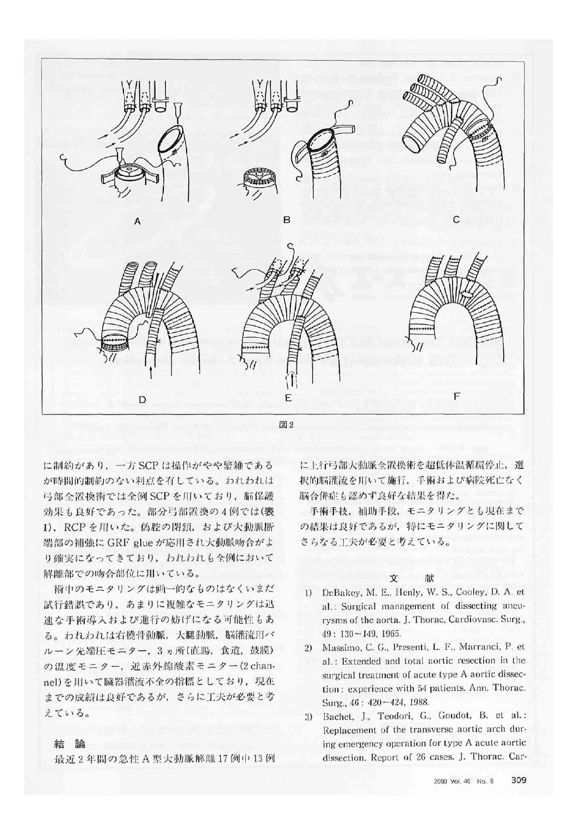

に制約があり、一方 SCP は操作がやや繁雑である が時間的制約のない利点を有している。われわれは 弓部全置換術では全例 SCP を用いており、脳保護 効果も良好であった。部分弓部置換の4例では(表 1), RCP を用いた。偽腔の閉鎖, および大動脈断 端部の補強に GRF glue が応用され大動脈吻合がよ り確実になってきており、われわれも全例において 解離部での吻合部位に用いている。

術中のモニタリングは画一的なものはなくいまだ 試行錯誤であり、あまりに複雑なモニタリングは迅 速な手術導入および進行の妨げになる可能性もあ る。われわれは右橈骨動脈、大腿動脈、脳灌流用バ ルーン先端圧モニター, 3ヵ所(直腸, 食道, 鼓膜) の温度モニター, 近赤外線酸素モニター(2 channel)を用いて臓器灌流不全の指標としており、現在 までの成績は良好であるが、さらに工夫が必要と考 えている。

に上行弓部大動脈全置換術を超低体温循環停止、選 択的脳灌流を用いて施行、手術および病院死亡なく 脳合併症も認めず良好な結果を得た。

手術手技、補助手段、モニタリングとも現在まで の結果は良好であるが、特にモニタリングに関して さらなる工夫が必要と考えている。

## 献

文

- 1) DeBakey, M. E., Henly, W. S., Cooley, D. A. et al.: Surgical management of dissecting aneurysms of the aorta. J. Thorac. Cardiovasc. Surg.,  $49:130 \sim 149.1965.$
- 2) Massimo, C. G., Presenti, L. F., Marranci, P. et al.: Extended and total aortic resection in the surgical treatment of acute type A aortic dissection: experience with 54 patients. Ann. Thorac. Surg., 46: 420~424, 1988.
- Bachet, J., Teodori, G., Goudot, B. et al.:  $3)$ Replacement of the transverse aortic arch during emergency operation for type A acute aortic dissection. Report of 26 cases. J. Thorac. Car-

## 結論

最近2年間の急性A型大動脈解離17例中13例